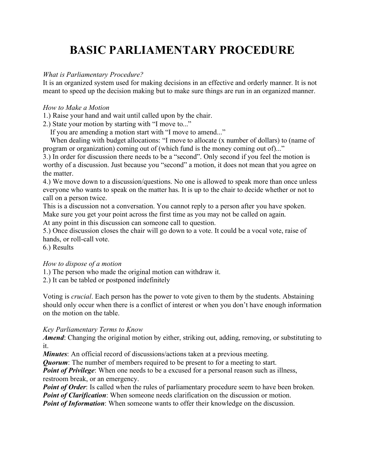# **BASIC PARLIAMENTARY PROCEDURE**

#### *What is Parliamentary Procedure?*

It is an organized system used for making decisions in an effective and orderly manner. It is not meant to speed up the decision making but to make sure things are run in an organized manner.

### *How to Make a Motion*

1.) Raise your hand and wait until called upon by the chair.

2.) State your motion by starting with "I move to..."

If you are amending a motion start with "I move to amend..."

 When dealing with budget allocations: "I move to allocate (x number of dollars) to (name of program or organization) coming out of (which fund is the money coming out of)..."

3.) In order for discussion there needs to be a "second". Only second if you feel the motion is worthy of a discussion. Just because you "second" a motion, it does not mean that you agree on the matter.

4.) We move down to a discussion/questions. No one is allowed to speak more than once unless everyone who wants to speak on the matter has. It is up to the chair to decide whether or not to call on a person twice.

This is a discussion not a conversation. You cannot reply to a person after you have spoken. Make sure you get your point across the first time as you may not be called on again.

At any point in this discussion can someone call to question.

5.) Once discussion closes the chair will go down to a vote. It could be a vocal vote, raise of hands, or roll-call vote.

6.) Results

## *How to dispose of a motion*

1.) The person who made the original motion can withdraw it.

2.) It can be tabled or postponed indefinitely

Voting is *crucial*. Each person has the power to vote given to them by the students. Abstaining should only occur when there is a conflict of interest or when you don't have enough information on the motion on the table.

#### *Key Parliamentary Terms to Know*

*Amend*: Changing the original motion by either, striking out, adding, removing, or substituting to it.

*Minutes*: An official record of discussions/actions taken at a previous meeting.

*Quorum*: The number of members required to be present to for a meeting to start.

*Point of Privilege*: When one needs to be a excused for a personal reason such as illness, restroom break, or an emergency.

*Point of Order*: Is called when the rules of parliamentary procedure seem to have been broken. *Point of Clarification*: When someone needs clarification on the discussion or motion.

*Point of Information*: When someone wants to offer their knowledge on the discussion.